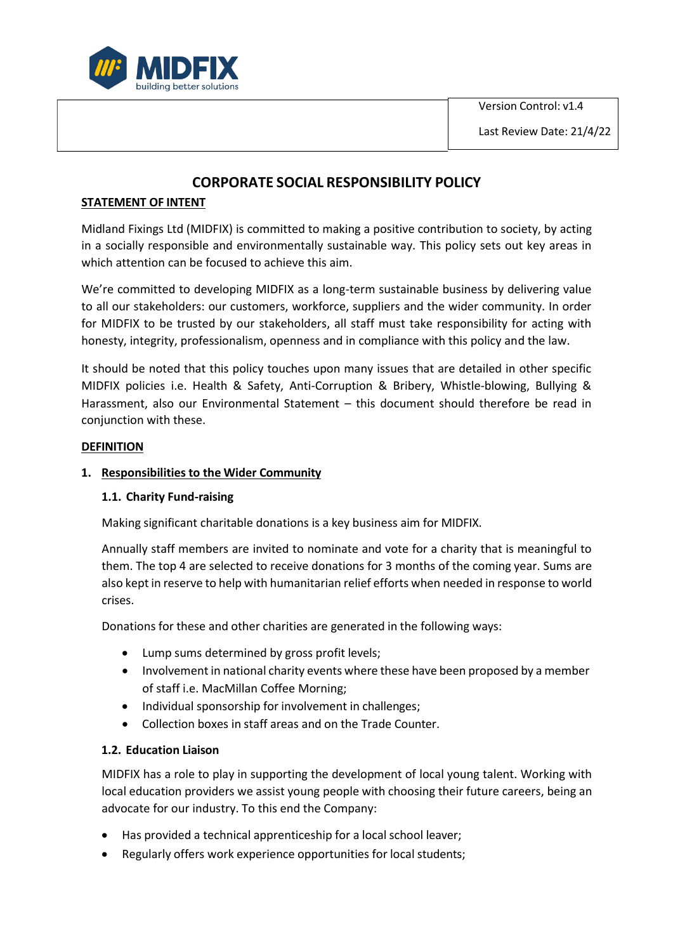

Version Control: v1.4 Last Review Date: 21/4/22

# **CORPORATE SOCIAL RESPONSIBILITY POLICY**

### **STATEMENT OF INTENT**

Midland Fixings Ltd (MIDFIX) is committed to making a positive contribution to society, by acting in a socially responsible and environmentally sustainable way. This policy sets out key areas in which attention can be focused to achieve this aim.

We're committed to developing MIDFIX as a long-term sustainable business by delivering value to all our stakeholders: our customers, workforce, suppliers and the wider community. In order for MIDFIX to be trusted by our stakeholders, all staff must take responsibility for acting with honesty, integrity, professionalism, openness and in compliance with this policy and the law.

It should be noted that this policy touches upon many issues that are detailed in other specific MIDFIX policies i.e. Health & Safety, Anti-Corruption & Bribery, Whistle-blowing, Bullying & Harassment, also our Environmental Statement – this document should therefore be read in conjunction with these.

#### **DEFINITION**

#### **1. Responsibilities to the Wider Community**

#### **1.1. Charity Fund-raising**

Making significant charitable donations is a key business aim for MIDFIX.

Annually staff members are invited to nominate and vote for a charity that is meaningful to them. The top 4 are selected to receive donations for 3 months of the coming year. Sums are also kept in reserve to help with humanitarian relief efforts when needed in response to world crises.

Donations for these and other charities are generated in the following ways:

- Lump sums determined by gross profit levels;
- Involvement in national charity events where these have been proposed by a member of staff i.e. MacMillan Coffee Morning;
- Individual sponsorship for involvement in challenges;
- Collection boxes in staff areas and on the Trade Counter.

#### **1.2. Education Liaison**

MIDFIX has a role to play in supporting the development of local young talent. Working with local education providers we assist young people with choosing their future careers, being an advocate for our industry. To this end the Company:

- Has provided a technical apprenticeship for a local school leaver;
- Regularly offers work experience opportunities for local students;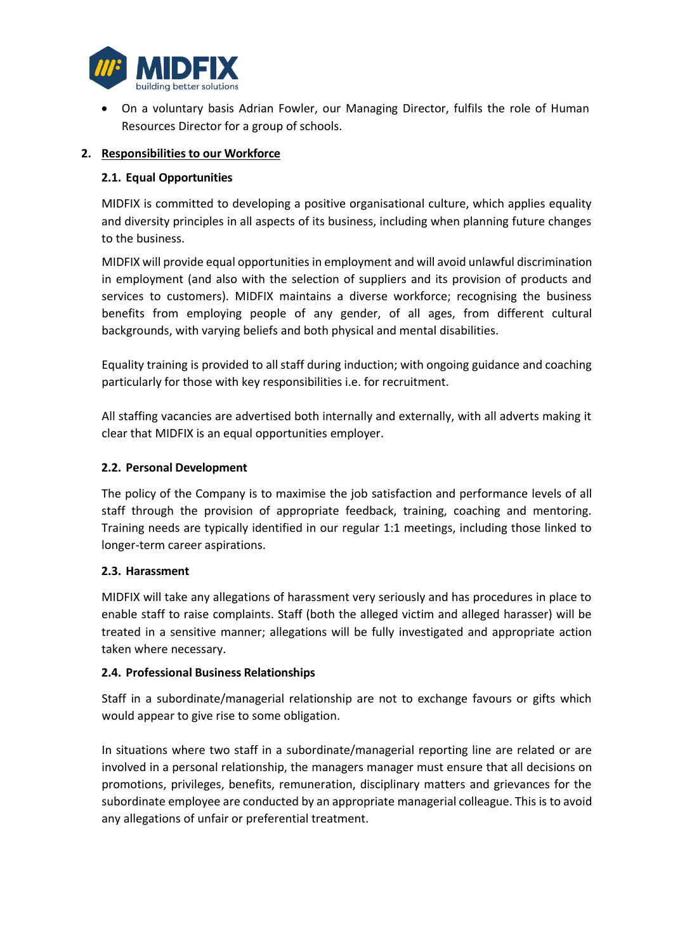

• On a voluntary basis Adrian Fowler, our Managing Director, fulfils the role of Human Resources Director for a group of schools.

### **2. Responsibilities to our Workforce**

### **2.1. Equal Opportunities**

MIDFIX is committed to developing a positive organisational culture, which applies equality and diversity principles in all aspects of its business, including when planning future changes to the business.

MIDFIX will provide equal opportunities in employment and will avoid unlawful discrimination in employment (and also with the selection of suppliers and its provision of products and services to customers). MIDFIX maintains a diverse workforce; recognising the business benefits from employing people of any gender, of all ages, from different cultural backgrounds, with varying beliefs and both physical and mental disabilities.

Equality training is provided to allstaff during induction; with ongoing guidance and coaching particularly for those with key responsibilities i.e. for recruitment.

All staffing vacancies are advertised both internally and externally, with all adverts making it clear that MIDFIX is an equal opportunities employer.

### **2.2. Personal Development**

The policy of the Company is to maximise the job satisfaction and performance levels of all staff through the provision of appropriate feedback, training, coaching and mentoring. Training needs are typically identified in our regular 1:1 meetings, including those linked to longer-term career aspirations.

#### **2.3. Harassment**

MIDFIX will take any allegations of harassment very seriously and has procedures in place to enable staff to raise complaints. Staff (both the alleged victim and alleged harasser) will be treated in a sensitive manner; allegations will be fully investigated and appropriate action taken where necessary.

#### **2.4. Professional Business Relationships**

Staff in a subordinate/managerial relationship are not to exchange favours or gifts which would appear to give rise to some obligation.

In situations where two staff in a subordinate/managerial reporting line are related or are involved in a personal relationship, the managers manager must ensure that all decisions on promotions, privileges, benefits, remuneration, disciplinary matters and grievances for the subordinate employee are conducted by an appropriate managerial colleague. This is to avoid any allegations of unfair or preferential treatment.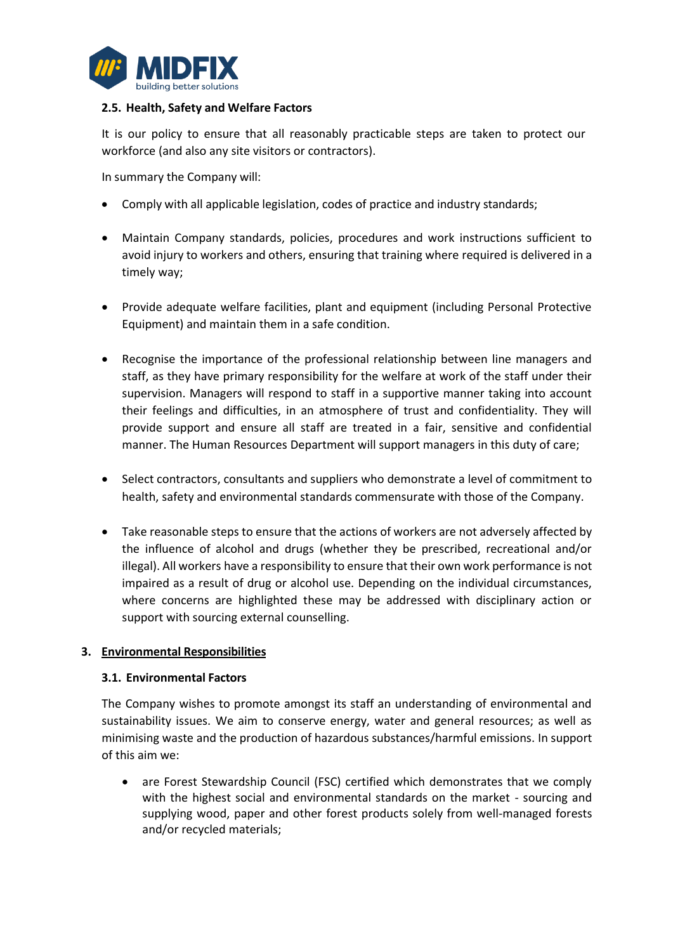

### **2.5. Health, Safety and Welfare Factors**

It is our policy to ensure that all reasonably practicable steps are taken to protect our workforce (and also any site visitors or contractors).

In summary the Company will:

- Comply with all applicable legislation, codes of practice and industry standards;
- Maintain Company standards, policies, procedures and work instructions sufficient to avoid injury to workers and others, ensuring that training where required is delivered in a timely way;
- Provide adequate welfare facilities, plant and equipment (including Personal Protective Equipment) and maintain them in a safe condition.
- Recognise the importance of the professional relationship between line managers and staff, as they have primary responsibility for the welfare at work of the staff under their supervision. Managers will respond to staff in a supportive manner taking into account their feelings and difficulties, in an atmosphere of trust and confidentiality. They will provide support and ensure all staff are treated in a fair, sensitive and confidential manner. The Human Resources Department will support managers in this duty of care;
- Select contractors, consultants and suppliers who demonstrate a level of commitment to health, safety and environmental standards commensurate with those of the Company.
- Take reasonable steps to ensure that the actions of workers are not adversely affected by the influence of alcohol and drugs (whether they be prescribed, recreational and/or illegal). All workers have a responsibility to ensure that their own work performance is not impaired as a result of drug or alcohol use. Depending on the individual circumstances, where concerns are highlighted these may be addressed with disciplinary action or support with sourcing external counselling.

#### **3. Environmental Responsibilities**

#### **3.1. Environmental Factors**

The Company wishes to promote amongst its staff an understanding of environmental and sustainability issues. We aim to conserve energy, water and general resources; as well as minimising waste and the production of hazardous substances/harmful emissions. In support of this aim we:

• are Forest Stewardship Council (FSC) certified which demonstrates that we comply with the highest social and environmental standards on the market - sourcing and supplying wood, paper and other forest products solely from well-managed forests and/or recycled materials;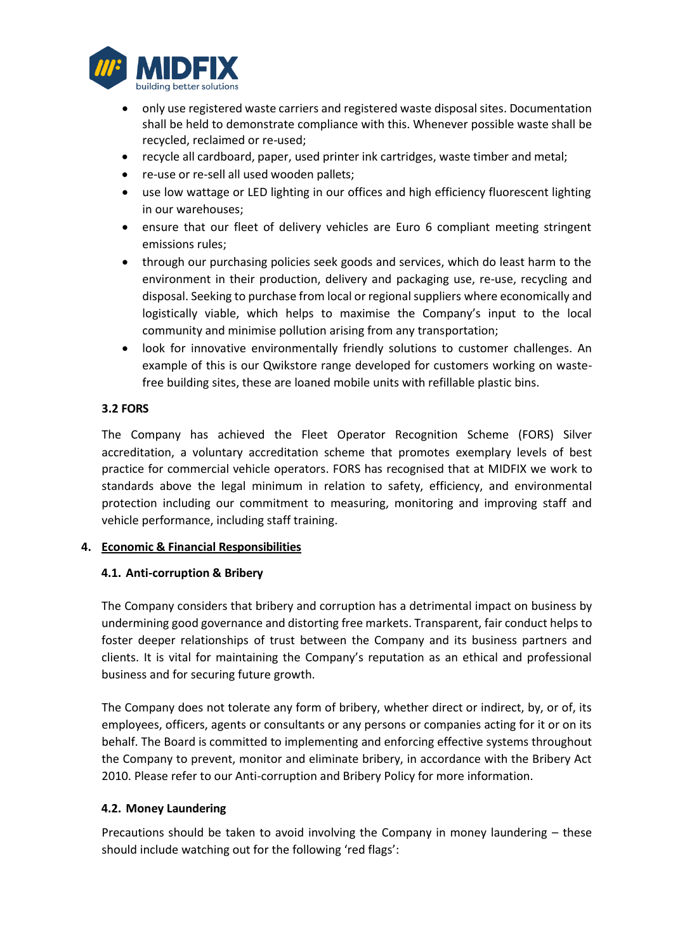

- only use registered waste carriers and registered waste disposalsites. Documentation shall be held to demonstrate compliance with this. Whenever possible waste shall be recycled, reclaimed or re-used;
- recycle all cardboard, paper, used printer ink cartridges, waste timber and metal;
- re-use or re-sell all used wooden pallets;
- use low wattage or LED lighting in our offices and high efficiency fluorescent lighting in our warehouses;
- ensure that our fleet of delivery vehicles are Euro 6 compliant meeting stringent emissions rules;
- through our purchasing policies seek goods and services, which do least harm to the environment in their production, delivery and packaging use, re-use, recycling and disposal. Seeking to purchase from local or regionalsuppliers where economically and logistically viable, which helps to maximise the Company's input to the local community and minimise pollution arising from any transportation;
- look for innovative environmentally friendly solutions to customer challenges. An example of this is our Qwikstore range developed for customers working on wastefree building sites, these are loaned mobile units with refillable plastic bins.

## **3.2 FORS**

The Company has achieved the Fleet Operator Recognition Scheme (FORS) Silver accreditation, a voluntary accreditation scheme that promotes exemplary levels of best practice for commercial vehicle operators. FORS has recognised that at MIDFIX we work to standards above the legal minimum in relation to safety, efficiency, and environmental protection including our commitment to measuring, monitoring and improving staff and vehicle performance, including staff training.

#### **4. Economic & Financial Responsibilities**

## **4.1. Anti-corruption & Bribery**

The Company considers that bribery and corruption has a detrimental impact on business by undermining good governance and distorting free markets. Transparent, fair conduct helps to foster deeper relationships of trust between the Company and its business partners and clients. It is vital for maintaining the Company's reputation as an ethical and professional business and for securing future growth.

The Company does not tolerate any form of bribery, whether direct or indirect, by, or of, its employees, officers, agents or consultants or any persons or companies acting for it or on its behalf. The Board is committed to implementing and enforcing effective systems throughout the Company to prevent, monitor and eliminate bribery, in accordance with the Bribery Act 2010. Please refer to our Anti-corruption and Bribery Policy for more information.

## **4.2. Money Laundering**

Precautions should be taken to avoid involving the Company in money laundering – these should include watching out for the following 'red flags':